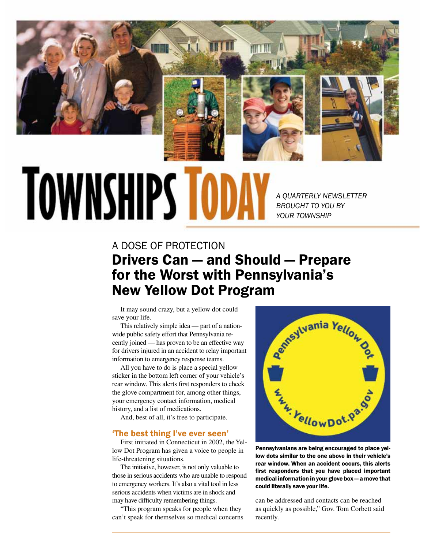

# **TOWNSHIPS TOD**

*A QUARTERLY NEWSLETTER BROUGHT TO YOU BY YOUR TOWNSHIP*

# A Dose of Protection Drivers Can — and Should — Prepare for the Worst with Pennsylvania's New Yellow Dot Program

It may sound crazy, but a yellow dot could save your life.

This relatively simple idea — part of a nationwide public safety effort that Pennsylvania recently joined — has proven to be an effective way for drivers injured in an accident to relay important information to emergency response teams.

All you have to do is place a special yellow sticker in the bottom left corner of your vehicle's rear window. This alerts first responders to check the glove compartment for, among other things, your emergency contact information, medical history, and a list of medications.

And, best of all, it's free to participate.

### 'The best thing I've ever seen'

First initiated in Connecticut in 2002, the Yellow Dot Program has given a voice to people in life-threatening situations.

The initiative, however, is not only valuable to those in serious accidents who are unable to respond to emergency workers. It's also a vital tool in less serious accidents when victims are in shock and may have difficulty remembering things.

"This program speaks for people when they can't speak for themselves so medical concerns



Pennsylvanians are being encouraged to place yellow dots similar to the one above in their vehicle's rear window. When an accident occurs, this alerts first responders that you have placed important medical information in your glove box — a move that could literally save your life.

can be addressed and contacts can be reached as quickly as possible," Gov. Tom Corbett said recently.